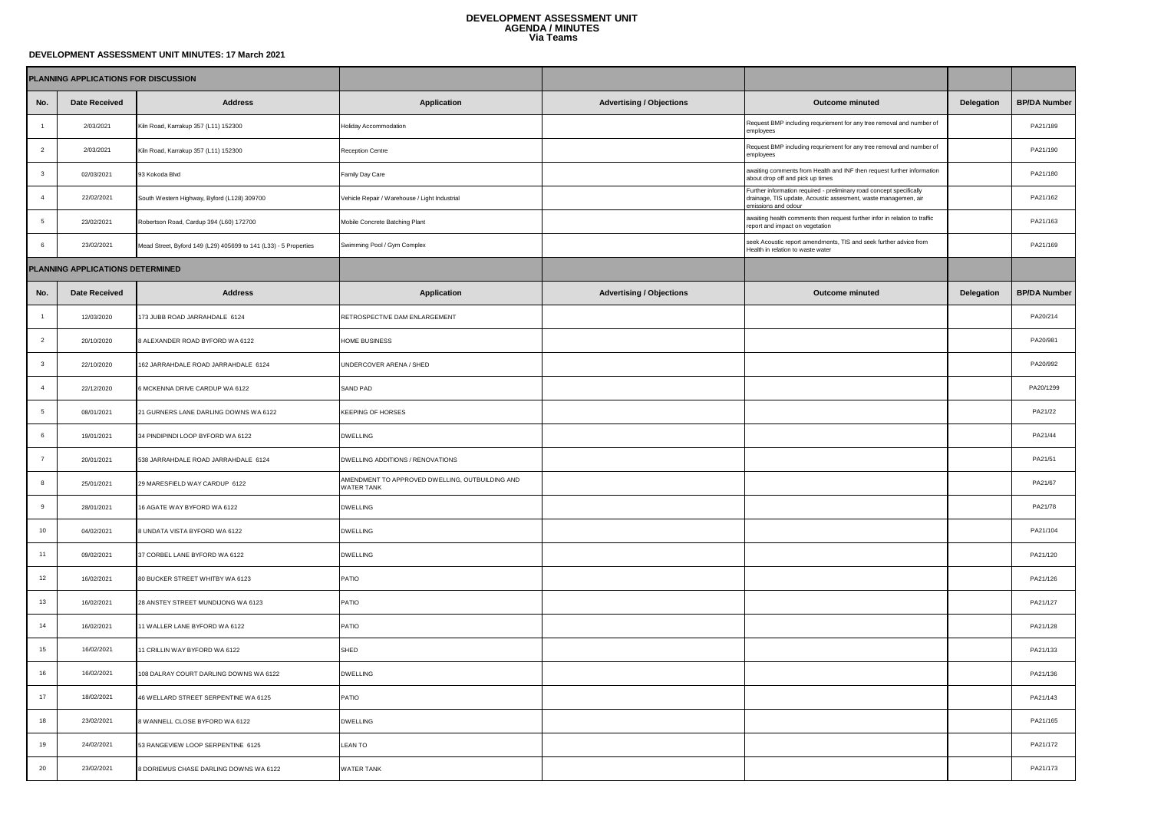## **DEVELOPMENT ASSESSMENT UNIT AGENDA / MINUTES Via Teams**

## **DEVELOPMENT ASSESSMENT UNIT MINUTES: 17 March 2021**

|                                  | PLANNING APPLICATIONS FOR DISCUSSION |                                                                  |                                                                      |                                 |                                                                                                                                                               |            |                     |
|----------------------------------|--------------------------------------|------------------------------------------------------------------|----------------------------------------------------------------------|---------------------------------|---------------------------------------------------------------------------------------------------------------------------------------------------------------|------------|---------------------|
| No.                              | <b>Date Received</b>                 | <b>Address</b>                                                   | <b>Application</b>                                                   | <b>Advertising / Objections</b> | <b>Outcome minuted</b>                                                                                                                                        | Delegation | <b>BP/DA Number</b> |
|                                  | 2/03/2021                            | Kiln Road, Karrakup 357 (L11) 152300                             | Holiday Accommodation                                                |                                 | Request BMP including requriement for any tree removal and number of<br>employees                                                                             |            | PA21/189            |
| $\overline{2}$                   | 2/03/2021                            | Kiln Road, Karrakup 357 (L11) 152300                             | Reception Centre                                                     |                                 | Request BMP including requriement for any tree removal and number of<br>employees                                                                             |            | PA21/190            |
| $\overline{\mathbf{3}}$          | 02/03/2021                           | 93 Kokoda Blvd                                                   | Family Day Care                                                      |                                 | awaiting comments from Health and INF then request further information<br>about drop off and pick up times                                                    |            | PA21/180            |
| $\overline{4}$                   | 22/02/2021                           | South Western Highway, Byford (L128) 309700                      | Vehicle Repair / Warehouse / Light Industrial                        |                                 | Further information required - preliminary road concept specifically<br>drainage, TIS update, Acoustic assesment, waste managemen, air<br>emissions and odour |            | PA21/162            |
| $\sqrt{5}$                       | 23/02/2021                           | Robertson Road, Cardup 394 (L60) 172700                          | Mobile Concrete Batching Plant                                       |                                 | awaiting health comments then request further infor in relation to traffic<br>report and impact on vegetation                                                 |            | PA21/163            |
| 6                                | 23/02/2021                           | Mead Street, Byford 149 (L29) 405699 to 141 (L33) - 5 Properties | Swimming Pool / Gym Complex                                          |                                 | seek Acoustic report amendments, TIS and seek further advice from<br>Health in relation to waste water                                                        |            | PA21/169            |
| PLANNING APPLICATIONS DETERMINED |                                      |                                                                  |                                                                      |                                 |                                                                                                                                                               |            |                     |
| No.                              | <b>Date Received</b>                 | <b>Address</b>                                                   | Application                                                          | <b>Advertising / Objections</b> | Outcome minuted                                                                                                                                               | Delegation | <b>BP/DA Number</b> |
| $\mathbf{1}$                     | 12/03/2020                           | 173 JUBB ROAD JARRAHDALE 6124                                    | RETROSPECTIVE DAM ENLARGEMENT                                        |                                 |                                                                                                                                                               |            | PA20/214            |
| $\overline{2}$                   | 20/10/2020                           | 8 ALEXANDER ROAD BYFORD WA 6122                                  | HOME BUSINESS                                                        |                                 |                                                                                                                                                               |            | PA20/981            |
| $\overline{\mathbf{3}}$          | 22/10/2020                           | 162 JARRAHDALE ROAD JARRAHDALE 6124                              | UNDERCOVER ARENA / SHED                                              |                                 |                                                                                                                                                               |            | PA20/992            |
|                                  | 22/12/2020                           | 6 MCKENNA DRIVE CARDUP WA 6122                                   | SAND PAD                                                             |                                 |                                                                                                                                                               |            | PA20/1299           |
| 5                                | 08/01/2021                           | 21 GURNERS LANE DARLING DOWNS WA 6122                            | KEEPING OF HORSES                                                    |                                 |                                                                                                                                                               |            | PA21/22             |
| 6                                | 19/01/2021                           | 34 PINDIPINDI LOOP BYFORD WA 6122                                | <b>DWELLING</b>                                                      |                                 |                                                                                                                                                               |            | PA21/44             |
| $\overline{7}$                   | 20/01/2021                           | 538 JARRAHDALE ROAD JARRAHDALE 6124                              | DWELLING ADDITIONS / RENOVATIONS                                     |                                 |                                                                                                                                                               |            | PA21/51             |
| 8                                | 25/01/2021                           | 29 MARESFIELD WAY CARDUP 6122                                    | AMENDMENT TO APPROVED DWELLING, OUTBUILDING AND<br><b>WATER TANK</b> |                                 |                                                                                                                                                               |            | PA21/67             |
| 9                                | 28/01/2021                           | 16 AGATE WAY BYFORD WA 6122                                      | <b>DWELLING</b>                                                      |                                 |                                                                                                                                                               |            | PA21/78             |
| 10                               | 04/02/2021                           | 8 UNDATA VISTA BYFORD WA 6122                                    | <b>DWELLING</b>                                                      |                                 |                                                                                                                                                               |            | PA21/104            |
| 11                               | 09/02/2021                           | 37 CORBEL LANE BYFORD WA 6122                                    | <b>DWELLING</b>                                                      |                                 |                                                                                                                                                               |            | PA21/120            |
| 12                               | 16/02/2021                           | 80 BUCKER STREET WHITBY WA 6123                                  | PATIO                                                                |                                 |                                                                                                                                                               |            | PA21/126            |
| 13                               | 16/02/2021                           | 28 ANSTEY STREET MUNDIJONG WA 6123                               | PATIO                                                                |                                 |                                                                                                                                                               |            | PA21/127            |
| 14                               | 16/02/2021                           | 11 WALLER LANE BYFORD WA 6122                                    | PATIO                                                                |                                 |                                                                                                                                                               |            | PA21/128            |
| 15                               | 16/02/2021                           | 11 CRILLIN WAY BYFORD WA 6122                                    | SHED                                                                 |                                 |                                                                                                                                                               |            | PA21/133            |
| 16                               | 16/02/2021                           | 108 DALRAY COURT DARLING DOWNS WA 6122                           | <b>DWELLING</b>                                                      |                                 |                                                                                                                                                               |            | PA21/136            |
| 17                               | 18/02/2021                           | 46 WELLARD STREET SERPENTINE WA 6125                             | PATIO                                                                |                                 |                                                                                                                                                               |            | PA21/143            |
| 18                               | 23/02/2021                           | 8 WANNELL CLOSE BYFORD WA 6122                                   | <b>DWELLING</b>                                                      |                                 |                                                                                                                                                               |            | PA21/165            |
| 19                               | 24/02/2021                           | 53 RANGEVIEW LOOP SERPENTINE 6125                                | LEAN TO                                                              |                                 |                                                                                                                                                               |            | PA21/172            |
| $20\,$                           | 23/02/2021                           | 8 DORIEMUS CHASE DARLING DOWNS WA 6122                           | WATER TANK                                                           |                                 |                                                                                                                                                               |            | PA21/173            |